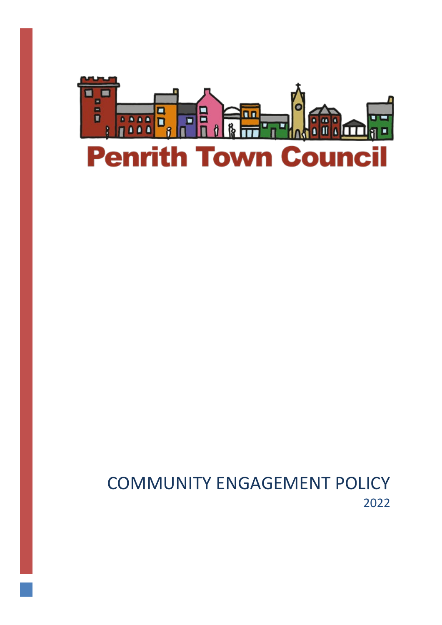

# COMMUNITY ENGAGEMENT POLICY 2022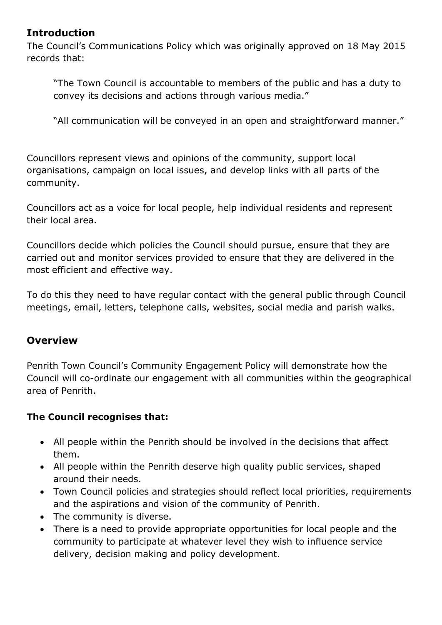### **Introduction**

The Council's Communications Policy which was originally approved on 18 May 2015 records that:

"The Town Council is accountable to members of the public and has a duty to convey its decisions and actions through various media."

"All communication will be conveyed in an open and straightforward manner."

Councillors represent views and opinions of the community, support local organisations, campaign on local issues, and develop links with all parts of the community.

Councillors act as a voice for local people, help individual residents and represent their local area.

Councillors decide which policies the Council should pursue, ensure that they are carried out and monitor services provided to ensure that they are delivered in the most efficient and effective way.

To do this they need to have regular contact with the general public through Council meetings, email, letters, telephone calls, websites, social media and parish walks.

### **Overview**

Penrith Town Council's Community Engagement Policy will demonstrate how the Council will co-ordinate our engagement with all communities within the geographical area of Penrith.

### **The Council recognises that:**

- All people within the Penrith should be involved in the decisions that affect them.
- All people within the Penrith deserve high quality public services, shaped around their needs.
- Town Council policies and strategies should reflect local priorities, requirements and the aspirations and vision of the community of Penrith.
- The community is diverse.
- There is a need to provide appropriate opportunities for local people and the community to participate at whatever level they wish to influence service delivery, decision making and policy development.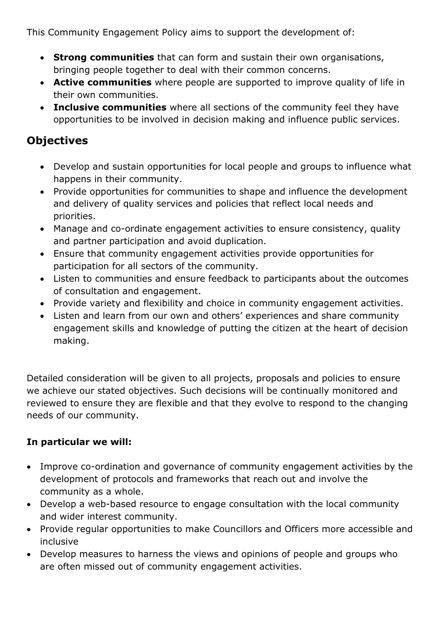This Community Engagement Policy aims to support the development of:

- **Strong communities** that can form and sustain their own organisations, bringing people together to deal with their common concerns.
- **Active communities** where people are supported to improve quality of life in their own communities.
- **Inclusive communities** where all sections of the community feel they have opportunities to be involved in decision making and influence public services.

### **Objectives**

- Develop and sustain opportunities for local people and groups to influence what happens in their community.
- Provide opportunities for communities to shape and influence the development and delivery of quality services and policies that reflect local needs and priorities.
- Manage and co-ordinate engagement activities to ensure consistency, quality and partner participation and avoid duplication.
- Ensure that community engagement activities provide opportunities for participation for all sectors of the community.
- Listen to communities and ensure feedback to participants about the outcomes of consultation and engagement.
- Provide variety and flexibility and choice in community engagement activities.
- Listen and learn from our own and others' experiences and share community engagement skills and knowledge of putting the citizen at the heart of decision making.

Detailed consideration will be given to all projects, proposals and policies to ensure we achieve our stated objectives. Such decisions will be continually monitored and reviewed to ensure they are flexible and that they evolve to respond to the changing needs of our community.

### **In particular we will:**

- Improve co-ordination and governance of community engagement activities by the development of protocols and frameworks that reach out and involve the community as a whole.
- Develop a web-based resource to engage consultation with the local community and wider interest community.
- Provide regular opportunities to make Councillors and Officers more accessible and inclusive
- Develop measures to harness the views and opinions of people and groups who are often missed out of community engagement activities.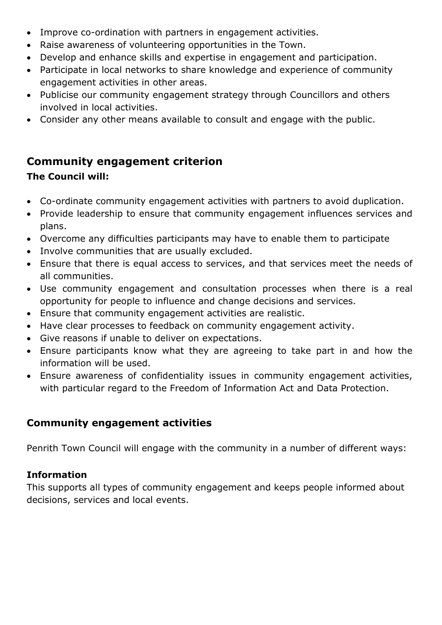- Improve co-ordination with partners in engagement activities.
- Raise awareness of volunteering opportunities in the Town.
- Develop and enhance skills and expertise in engagement and participation.
- Participate in local networks to share knowledge and experience of community engagement activities in other areas.
- Publicise our community engagement strategy through Councillors and others involved in local activities.
- Consider any other means available to consult and engage with the public.

# **Community engagement criterion**

## **The Council will:**

- Co-ordinate community engagement activities with partners to avoid duplication.
- Provide leadership to ensure that community engagement influences services and plans.
- Overcome any difficulties participants may have to enable them to participate
- Involve communities that are usually excluded.
- Ensure that there is equal access to services, and that services meet the needs of all communities.
- Use community engagement and consultation processes when there is a real opportunity for people to influence and change decisions and services.
- Ensure that community engagement activities are realistic.
- Have clear processes to feedback on community engagement activity.
- Give reasons if unable to deliver on expectations.
- Ensure participants know what they are agreeing to take part in and how the information will be used.
- Ensure awareness of confidentiality issues in community engagement activities, with particular regard to the Freedom of Information Act and Data Protection.

# **Community engagement activities**

Penrith Town Council will engage with the community in a number of different ways:

## **Information**

This supports all types of community engagement and keeps people informed about decisions, services and local events.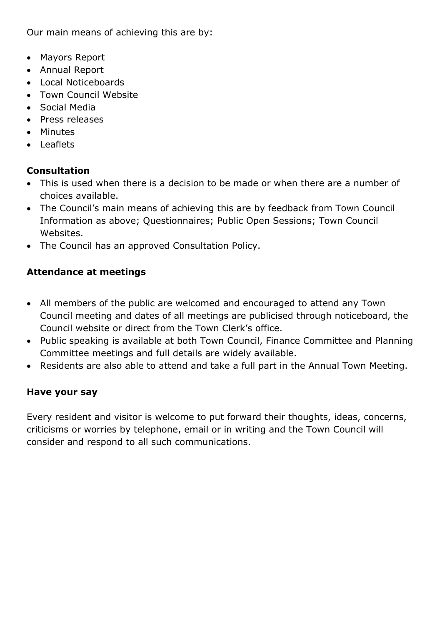Our main means of achieving this are by:

- Mayors Report
- Annual Report
- Local Noticeboards
- Town Council Website
- Social Media
- Press releases
- Minutes
- Leaflets

### **Consultation**

- This is used when there is a decision to be made or when there are a number of choices available.
- The Council's main means of achieving this are by feedback from Town Council Information as above; Questionnaires; Public Open Sessions; Town Council Websites.
- The Council has an approved Consultation Policy.

### **Attendance at meetings**

- All members of the public are welcomed and encouraged to attend any Town Council meeting and dates of all meetings are publicised through noticeboard, the Council website or direct from the Town Clerk's office.
- Public speaking is available at both Town Council, Finance Committee and Planning Committee meetings and full details are widely available.
- Residents are also able to attend and take a full part in the Annual Town Meeting.

### **Have your say**

Every resident and visitor is welcome to put forward their thoughts, ideas, concerns, criticisms or worries by telephone, email or in writing and the Town Council will consider and respond to all such communications.